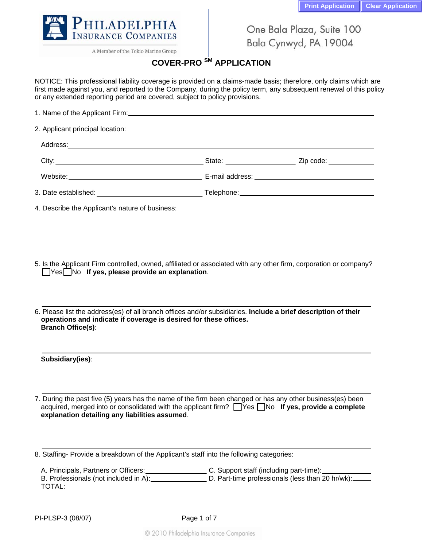

A Member of the Tokio Marine Group

One Bala Plaza, Suite 100 Bala Cynwyd, PA 19004

## **COVER-PRO SM APPLICATION**

NOTICE: This professional liability coverage is provided on a claims-made basis; therefore, only claims which are first made against you, and reported to the Company, during the policy term, any subsequent renewal of this policy or any extended reporting period are covered, subject to policy provisions.

| 1. Name of the Applicant Firm: |  |  |
|--------------------------------|--|--|
|                                |  |  |

2. Applicant principal location:

Address: **Address: Address: Address: Address: Address: Address: Address: Address: Address: Address: Address: Address: Address: Address: Address: Address: Address:** 

City: <u>City:</u> Zip code: 2.1 City: 2.1 City: 2.1 City: 2.1 City: 2.1 City: 2.1 City: 2.1 City: 2.1 City: 2.1 City: 2.1 City: 2.1 City: 2.1 City: 2.1 City: 2.1 City: 2.1 City: 2.1 City: 2.1 City: 2.1 City: 2.1 City: 2.1 City Website: E-mail address: 3. Date established: Telephone:

4. Describe the Applicant's nature of business:

5. Is the Applicant Firm controlled, owned, affiliated or associated with any other firm, corporation or company? **Thes** No If yes, please provide an explanation.

6. Please list the address(es) of all branch offices and/or subsidiaries. **Include a brief description of their operations and indicate if coverage is desired for these offices. Branch Office(s)**:

| Subsidiary(ies): |  |
|------------------|--|

7. During the past five (5) years has the name of the firm been changed or has any other business(es) been acquired, merged into or consolidated with the applicant firm? Ness No **If yes, provide a complete explanation detailing any liabilities assumed**.

8. Staffing- Provide a breakdown of the Applicant's staff into the following categories:

| A. Principals, Partners or Officers:  | C. Support staff (including part-time):          |
|---------------------------------------|--------------------------------------------------|
| B. Professionals (not included in A): | D. Part-time professionals (less than 20 hr/wk): |
| TOTAL:                                |                                                  |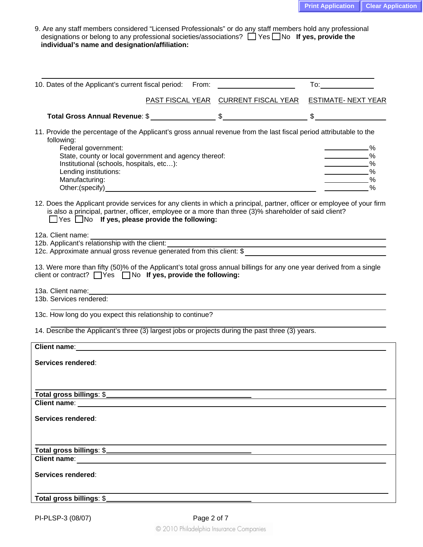| 9. Are any staff members considered "Licensed Professionals" or do any staff members hold any professional  |
|-------------------------------------------------------------------------------------------------------------|
| designations or belong to any professional societies/associations? $\Box$ Yes $\Box$ No If yes, provide the |
| individual's name and designation/affiliation:                                                              |

| 10. Dates of the Applicant's current fiscal period: From:                                                                                                                                                                                                                                               |                                                          |                                                                                                        |
|---------------------------------------------------------------------------------------------------------------------------------------------------------------------------------------------------------------------------------------------------------------------------------------------------------|----------------------------------------------------------|--------------------------------------------------------------------------------------------------------|
|                                                                                                                                                                                                                                                                                                         | PAST FISCAL YEAR CURRENT FISCAL YEAR ESTIMATE- NEXT YEAR |                                                                                                        |
|                                                                                                                                                                                                                                                                                                         |                                                          |                                                                                                        |
| 11. Provide the percentage of the Applicant's gross annual revenue from the last fiscal period attributable to the<br>following:<br>Federal government:<br>State, county or local government and agency thereof:<br>Institutional (schools, hospitals, etc):<br>Lending institutions:<br>Manufacturing: |                                                          | ______________________9⁄o<br>$\sim$ $\sim$ $\sim$<br>$\sim$ $\sim$ $\sim$<br>$\sim$ $\sim$ $\sim$<br>% |
| 12. Does the Applicant provide services for any clients in which a principal, partner, officer or employee of your firm<br>is also a principal, partner, officer, employee or a more than three (3)% shareholder of said client?<br>$\Box$ Yes $\Box$ No If yes, please provide the following:          |                                                          |                                                                                                        |
| 12a. Client name: 128.<br>12a. Client name:<br>12b. Applicant's relationship with the client:<br>12c. Approximate annual gross revenue generated from this client: \$                                                                                                                                   |                                                          |                                                                                                        |
| 13. Were more than fifty (50)% of the Applicant's total gross annual billings for any one year derived from a single<br>client or contract? Thes Tho If yes, provide the following:                                                                                                                     |                                                          |                                                                                                        |
| 13b. Services rendered:                                                                                                                                                                                                                                                                                 |                                                          |                                                                                                        |
| 13c. How long do you expect this relationship to continue?                                                                                                                                                                                                                                              |                                                          |                                                                                                        |
| 14. Describe the Applicant's three (3) largest jobs or projects during the past three (3) years.                                                                                                                                                                                                        |                                                          |                                                                                                        |
| Client name:                                                                                                                                                                                                                                                                                            |                                                          |                                                                                                        |
| Services rendered:                                                                                                                                                                                                                                                                                      |                                                          |                                                                                                        |
| Total gross billings: \$                                                                                                                                                                                                                                                                                |                                                          |                                                                                                        |
| <b>Client name:</b>                                                                                                                                                                                                                                                                                     |                                                          |                                                                                                        |
| <b>Services rendered:</b>                                                                                                                                                                                                                                                                               |                                                          |                                                                                                        |
|                                                                                                                                                                                                                                                                                                         |                                                          |                                                                                                        |
| Client name: The Client of the Client of the Client of the Client of the Client of the Client of the Client of the Client of the Client of the Client of the Client of the Client of the Client of the Client of the Client of                                                                          |                                                          |                                                                                                        |
| Services rendered:                                                                                                                                                                                                                                                                                      |                                                          |                                                                                                        |
| Total gross billings: \$                                                                                                                                                                                                                                                                                |                                                          |                                                                                                        |
|                                                                                                                                                                                                                                                                                                         |                                                          |                                                                                                        |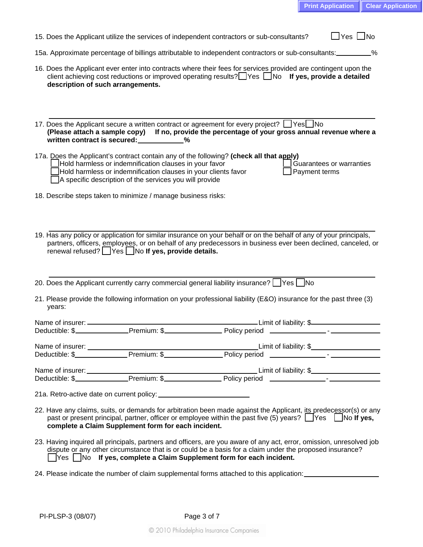| $\square$ Yes $\square$ No<br>15. Does the Applicant utilize the services of independent contractors or sub-consultants?                                                                                                                                                                                                    |
|-----------------------------------------------------------------------------------------------------------------------------------------------------------------------------------------------------------------------------------------------------------------------------------------------------------------------------|
| 15a. Approximate percentage of billings attributable to independent contractors or sub-consultants:                                                                                                                                                                                                                         |
| 16. Does the Applicant ever enter into contracts where their fees for services provided are contingent upon the<br>client achieving cost reductions or improved operating results? $\Box$ Yes $\Box$ No If yes, provide a detailed<br>description of such arrangements.                                                     |
| 17. Does the Applicant secure a written contract or agreement for every project? If Yes<br>(Please attach a sample copy) If no, provide the percentage of your gross annual revenue where a<br>written contract is secured: __________%                                                                                     |
| 17a. Does the Applicant's contract contain any of the following? (check all that apply)<br>Hold harmless or indemnification clauses in your favor<br>Guarantees or warranties<br>Hold harmless or indemnification clauses in your clients favor<br>Payment terms<br>A specific description of the services you will provide |
| 18. Describe steps taken to minimize / manage business risks:                                                                                                                                                                                                                                                               |
| 19. Has any policy or application for similar insurance on your behalf or on the behalf of any of your principals,<br>partners, officers, employees, or on behalf of any predecessors in business ever been declined, canceled, or<br>renewal refused?   Yes   No If yes, provide details.                                  |
| 20. Does the Applicant currently carry commercial general liability insurance? See No                                                                                                                                                                                                                                       |
| 21. Please provide the following information on your professional liability (E&O) insurance for the past three (3)<br>years:                                                                                                                                                                                                |
|                                                                                                                                                                                                                                                                                                                             |
|                                                                                                                                                                                                                                                                                                                             |
|                                                                                                                                                                                                                                                                                                                             |
|                                                                                                                                                                                                                                                                                                                             |
|                                                                                                                                                                                                                                                                                                                             |
|                                                                                                                                                                                                                                                                                                                             |
| 22. Have any claims, suits, or demands for arbitration been made against the Applicant, its predecessor(s) or any<br>past or present principal, partner, officer or employee within the past five (5) years? $\Box$ Yes $\Box$ No If yes,<br>complete a Claim Supplement form for each incident.                            |
| 23. Having inquired all principals, partners and officers, are you aware of any act, error, omission, unresolved job<br>dispute or any other circumstance that is or could be a basis for a claim under the proposed insurance?                                                                                             |

- □Yes □No If yes, complete a Claim Supplement form for each incident.
- 24. Please indicate the number of claim supplemental forms attached to this application: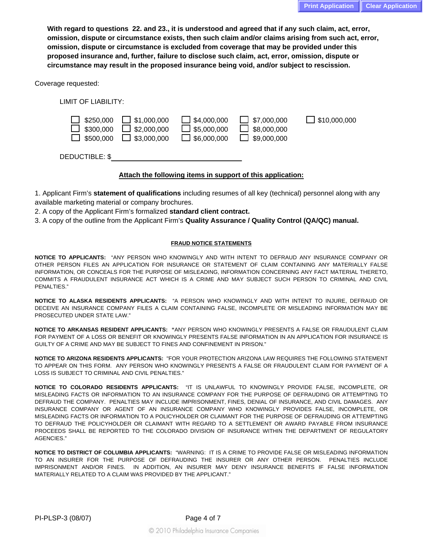**With regard to questions 22. and 23., it is understood and agreed that if any such claim, act, error, omission, dispute or circumstance exists, then such claim and/or claims arising from such act, error, omission, dispute or circumstance is excluded from coverage that may be provided under this proposed insurance and, further, failure to disclose such claim, act, error, omission, dispute or circumstance may result in the proposed insurance being void, and/or subject to rescission.** 

Coverage requested:

LIMIT OF LIABILITY:



DEDUCTIBLE: \$

## **Attach the following items in support of this application:**

1. Applicant Firm's **statement of qualifications** including resumes of all key (technical) personnel along with any available marketing material or company brochures.

2. A copy of the Applicant Firm's formalized **standard client contract.**

3. A copy of the outline from the Applicant Firm's **Quality Assurance / Quality Control (QA/QC) manual.**

## **FRAUD NOTICE STATEMENTS**

**NOTICE TO APPLICANTS:** "ANY PERSON WHO KNOWINGLY AND WITH INTENT TO DEFRAUD ANY INSURANCE COMPANY OR OTHER PERSON FILES AN APPLICATION FOR INSURANCE OR STATEMENT OF CLAIM CONTAINING ANY MATERIALLY FALSE INFORMATION, OR CONCEALS FOR THE PURPOSE OF MISLEADING, INFORMATION CONCERNING ANY FACT MATERIAL THERETO, COMMITS A FRAUDULENT INSURANCE ACT WHICH IS A CRIME AND MAY SUBJECT SUCH PERSON TO CRIMINAL AND CIVIL PENALTIES."

**NOTICE TO ALASKA RESIDENTS APPLICANTS:** "A PERSON WHO KNOWINGLY AND WITH INTENT TO INJURE, DEFRAUD OR DECEIVE AN INSURANCE COMPANY FILES A CLAIM CONTAINING FALSE, INCOMPLETE OR MISLEADING INFORMATION MAY BE PROSECUTED UNDER STATE LAW."

**NOTICE TO ARKANSAS RESIDENT APPLICANTS: "**ANY PERSON WHO KNOWINGLY PRESENTS A FALSE OR FRAUDULENT CLAIM FOR PAYMENT OF A LOSS OR BENEFIT OR KNOWINGLY PRESENTS FALSE INFORMATION IN AN APPLICATION FOR INSURANCE IS GUILTY OF A CRIME AND MAY BE SUBJECT TO FINES AND CONFINEMENT IN PRISON."

**NOTICE TO ARIZONA RESIDENTS APPLICANTS:** "FOR YOUR PROTECTION ARIZONA LAW REQUIRES THE FOLLOWING STATEMENT TO APPEAR ON THIS FORM. ANY PERSON WHO KNOWINGLY PRESENTS A FALSE OR FRAUDULENT CLAIM FOR PAYMENT OF A LOSS IS SUBJECT TO CRIMINAL AND CIVIL PENALTIES."

**NOTICE TO COLORADO RESIDENTS APPLICANTS:** "IT IS UNLAWFUL TO KNOWINGLY PROVIDE FALSE, INCOMPLETE, OR MISLEADING FACTS OR INFORMATION TO AN INSURANCE COMPANY FOR THE PURPOSE OF DEFRAUDING OR ATTEMPTING TO DEFRAUD THE COMPANY. PENALTIES MAY INCLUDE IMPRISONMENT, FINES, DENIAL OF INSURANCE, AND CIVIL DAMAGES. ANY INSURANCE COMPANY OR AGENT OF AN INSURANCE COMPANY WHO KNOWINGLY PROVIDES FALSE, INCOMPLETE, OR MISLEADING FACTS OR INFORMATION TO A POLICYHOLDER OR CLAIMANT FOR THE PURPOSE OF DEFRAUDING OR ATTEMPTING TO DEFRAUD THE POLICYHOLDER OR CLAIMANT WITH REGARD TO A SETTLEMENT OR AWARD PAYABLE FROM INSURANCE PROCEEDS SHALL BE REPORTED TO THE COLORADO DIVISION OF INSURANCE WITHIN THE DEPARTMENT OF REGULATORY AGENCIES."

**NOTICE TO DISTRICT OF COLUMBIA APPLICANTS:** "WARNING: IT IS A CRIME TO PROVIDE FALSE OR MISLEADING INFORMATION TO AN INSURER FOR THE PURPOSE OF DEFRAUDING THE INSURER OR ANY OTHER PERSON. PENALTIES INCLUDE IMPRISONMENT AND/OR FINES. IN ADDITION, AN INSURER MAY DENY INSURANCE BENEFITS IF FALSE INFORMATION MATERIALLY RELATED TO A CLAIM WAS PROVIDED BY THE APPLICANT."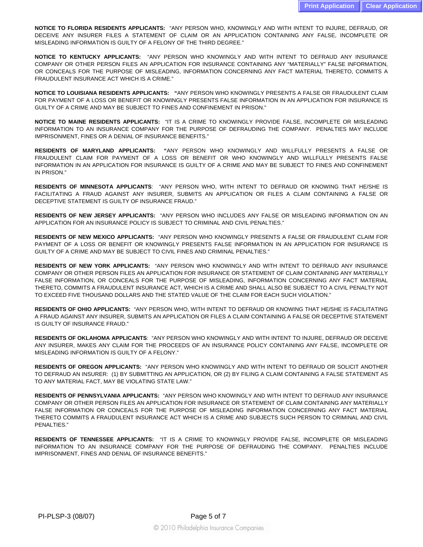**NOTICE TO FLORIDA RESIDENTS APPLICANTS:** "ANY PERSON WHO, KNOWINGLY AND WITH INTENT TO INJURE, DEFRAUD, OR DECEIVE ANY INSURER FILES A STATEMENT OF CLAIM OR AN APPLICATION CONTAINING ANY FALSE, INCOMPLETE OR MISLEADING INFORMATION IS GUILTY OF A FELONY OF THE THIRD DEGREE."

**NOTICE TO KENTUCKY APPLICANTS:** "ANY PERSON WHO KNOWINGLY AND WITH INTENT TO DEFRAUD ANY INSURANCE COMPANY OR OTHER PERSON FILES AN APPLICATION FOR INSURANCE CONTAINING ANY "MATERIALLY" FALSE INFORMATION, OR CONCEALS FOR THE PURPOSE OF MISLEADING, INFORMATION CONCERNING ANY FACT MATERIAL THERETO, COMMITS A FRAUDULENT INSURANCE ACT WHICH IS A CRIME."

**NOTICE TO LOUISIANA RESIDENTS APPLICANTS: "**ANY PERSON WHO KNOWINGLY PRESENTS A FALSE OR FRAUDULENT CLAIM FOR PAYMENT OF A LOSS OR BENEFIT OR KNOWINGLY PRESENTS FALSE INFORMATION IN AN APPLICATION FOR INSURANCE IS GUILTY OF A CRIME AND MAY BE SUBJECT TO FINES AND CONFINEMENT IN PRISON."

**NOTICE TO MAINE RESIDENTS APPLICANTS:** "IT IS A CRIME TO KNOWINGLY PROVIDE FALSE, INCOMPLETE OR MISLEADING INFORMATION TO AN INSURANCE COMPANY FOR THE PURPOSE OF DEFRAUDING THE COMPANY. PENALTIES MAY INCLUDE IMPRISONMENT, FINES OR A DENIAL OF INSURANCE BENEFITS."

**RESIDENTS OF MARYLAND APPLICANTS: "**ANY PERSON WHO KNOWINGLY AND WILLFULLY PRESENTS A FALSE OR FRAUDULENT CLAIM FOR PAYMENT OF A LOSS OR BENEFIT OR WHO KNOWINGLY AND WILLFULLY PRESENTS FALSE INFORMATION IN AN APPLICATION FOR INSURANCE IS GUILTY OF A CRIME AND MAY BE SUBJECT TO FINES AND CONFINEMENT IN PRISON."

**RESIDENTS OF MINNESOTA APPLICANTS**: "ANY PERSON WHO, WITH INTENT TO DEFRAUD OR KNOWING THAT HE/SHE IS FACILITATING A FRAUD AGAINST ANY INSURER, SUBMITS AN APPLICATION OR FILES A CLAIM CONTAINING A FALSE OR DECEPTIVE STATEMENT IS GUILTY OF INSURANCE FRAUD."

**RESIDENTS OF NEW JERSEY APPLICANTS:** "ANY PERSON WHO INCLUDES ANY FALSE OR MISLEADING INFORMATION ON AN APPLICATION FOR AN INSURANCE POLICY IS SUBJECT TO CRIMINAL AND CIVIL PENALTIES."

**RESIDENTS OF NEW MEXICO APPLICANTS:** "ANY PERSON WHO KNOWINGLY PRESENTS A FALSE OR FRAUDULENT CLAIM FOR PAYMENT OF A LOSS OR BENEFIT OR KNOWINGLY PRESENTS FALSE INFORMATION IN AN APPLICATION FOR INSURANCE IS GUILTY OF A CRIME AND MAY BE SUBJECT TO CIVIL FINES AND CRIMINAL PENALTIES."

**RESIDENTS OF NEW YORK APPLICANTS:** "ANY PERSON WHO KNOWINGLY AND WITH INTENT TO DEFRAUD ANY INSURANCE COMPANY OR OTHER PERSON FILES AN APPLICATION FOR INSURANCE OR STATEMENT OF CLAIM CONTAINING ANY MATERIALLY FALSE INFORMATION, OR CONCEALS FOR THE PURPOSE OF MISLEADING, INFORMATION CONCERNING ANY FACT MATERIAL THERETO, COMMITS A FRAUDULENT INSURANCE ACT, WHICH IS A CRIME AND SHALL ALSO BE SUBJECT TO A CIVIL PENALTY NOT TO EXCEED FIVE THOUSAND DOLLARS AND THE STATED VALUE OF THE CLAIM FOR EACH SUCH VIOLATION."

**RESIDENTS OF OHIO APPLICANTS:** "ANY PERSON WHO, WITH INTENT TO DEFRAUD OR KNOWING THAT HE/SHE IS FACILITATING A FRAUD AGAINST ANY INSURER, SUBMITS AN APPLICATION OR FILES A CLAIM CONTAINING A FALSE OR DECEPTIVE STATEMENT IS GUILTY OF INSURANCE FRAUD."

**RESIDENTS OF OKLAHOMA APPLICANTS**: "ANY PERSON WHO KNOWINGLY AND WITH INTENT TO INJURE, DEFRAUD OR DECEIVE ANY INSURER, MAKES ANY CLAIM FOR THE PROCEEDS OF AN INSURANCE POLICY CONTAINING ANY FALSE, INCOMPLETE OR MISLEADING INFORMATION IS GUILTY OF A FELONY."

**RESIDENTS OF OREGON APPLICANTS:** "ANY PERSON WHO KNOWINGLY AND WITH INTENT TO DEFRAUD OR SOLICIT ANOTHER TO DEFRAUD AN INSURER: (1) BY SUBMITTING AN APPLICATION, OR (2) BY FILING A CLAIM CONTAINING A FALSE STATEMENT AS TO ANY MATERIAL FACT, MAY BE VIOLATING STATE LAW."

**RESIDENTS OF PENNSYLVANIA APPLICANTS:** "ANY PERSON WHO KNOWINGLY AND WITH INTENT TO DEFRAUD ANY INSURANCE COMPANY OR OTHER PERSON FILES AN APPLICATION FOR INSURANCE OR STATEMENT OF CLAIM CONTAINING ANY MATERIALLY FALSE INFORMATION OR CONCEALS FOR THE PURPOSE OF MISLEADING INFORMATION CONCERNING ANY FACT MATERIAL THERETO COMMITS A FRAUDULENT INSURANCE ACT WHICH IS A CRIME AND SUBJECTS SUCH PERSON TO CRIMINAL AND CIVIL PENALTIES."

**RESIDENTS OF TENNESSEE APPLICANTS:** "IT IS A CRIME TO KNOWINGLY PROVIDE FALSE, INCOMPLETE OR MISLEADING INFORMATION TO AN INSURANCE COMPANY FOR THE PURPOSE OF DEFRAUDING THE COMPANY. PENALTIES INCLUDE IMPRISONMENT, FINES AND DENIAL OF INSURANCE BENEFITS."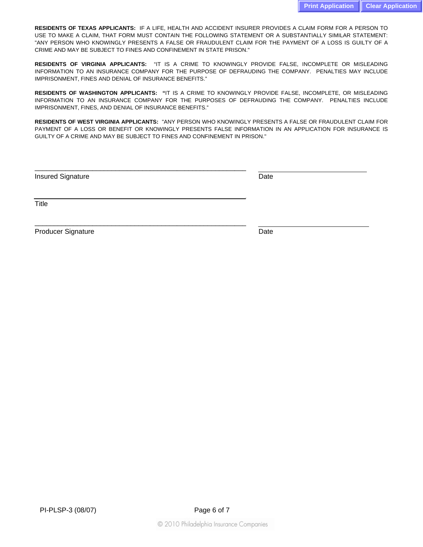**RESIDENTS OF TEXAS APPLICANTS:** IF A LIFE, HEALTH AND ACCIDENT INSURER PROVIDES A CLAIM FORM FOR A PERSON TO USE TO MAKE A CLAIM, THAT FORM MUST CONTAIN THE FOLLOWING STATEMENT OR A SUBSTANTIALLY SIMILAR STATEMENT: "ANY PERSON WHO KNOWINGLY PRESENTS A FALSE OR FRAUDULENT CLAIM FOR THE PAYMENT OF A LOSS IS GUILTY OF A CRIME AND MAY BE SUBJECT TO FINES AND CONFINEMENT IN STATE PRISON."

**RESIDENTS OF VIRGINIA APPLICANTS:** "IT IS A CRIME TO KNOWINGLY PROVIDE FALSE, INCOMPLETE OR MISLEADING INFORMATION TO AN INSURANCE COMPANY FOR THE PURPOSE OF DEFRAUDING THE COMPANY. PENALTIES MAY INCLUDE IMPRISONMENT, FINES AND DENIAL OF INSURANCE BENEFITS."

**RESIDENTS OF WASHINGTON APPLICANTS: "**IT IS A CRIME TO KNOWINGLY PROVIDE FALSE, INCOMPLETE, OR MISLEADING INFORMATION TO AN INSURANCE COMPANY FOR THE PURPOSES OF DEFRAUDING THE COMPANY. PENALTIES INCLUDE IMPRISONMENT, FINES, AND DENIAL OF INSURANCE BENEFITS."

**RESIDENTS OF WEST VIRGINIA APPLICANTS:** "ANY PERSON WHO KNOWINGLY PRESENTS A FALSE OR FRAUDULENT CLAIM FOR PAYMENT OF A LOSS OR BENEFIT OR KNOWINGLY PRESENTS FALSE INFORMATION IN AN APPLICATION FOR INSURANCE IS GUILTY OF A CRIME AND MAY BE SUBJECT TO FINES AND CONFINEMENT IN PRISON."

\_\_\_\_\_\_\_\_\_\_\_\_\_\_\_\_\_\_\_\_\_\_\_\_\_\_\_\_\_\_\_\_\_\_\_\_\_\_\_\_\_\_\_\_\_\_\_\_\_\_\_\_\_\_\_

\_\_\_\_\_\_\_\_\_\_\_\_\_\_\_\_\_\_\_\_\_\_\_\_\_\_\_\_\_\_\_\_\_\_\_\_\_\_\_\_\_\_\_\_\_\_\_\_\_\_\_\_\_\_\_

Insured Signature Date

**Title** 

Producer Signature Date